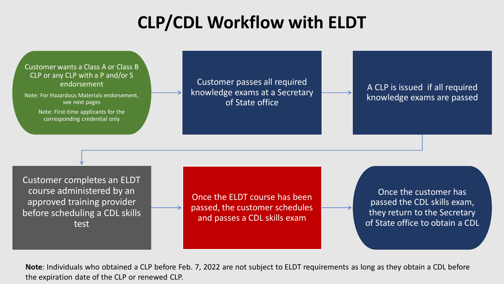## **CLP/CDL Workflow with ELDT**

Customer wants a Class A or Class B CLP or any CLP with a P and/or S endorsement

Note: For Hazardous Materials endorsement, see next pages

> Note: First-time applicants for the corresponding credential only

Customer passes all required knowledge exams at a Secretary of State office

A CLP is issued if all required knowledge exams are passed

Customer completes an ELDT course administered by an approved training provider before scheduling a CDL skills test

Once the ELDT course has been passed, the customer schedules and passes a CDL skills exam

Once the customer has passed the CDL skills exam, they return to the Secretary of State office to obtain a CDL

**Note**: Individuals who obtained a CLP before Feb. 7, 2022 are not subject to ELDT requirements as long as they obtain a CDL before the expiration date of the CLP or renewed CLP.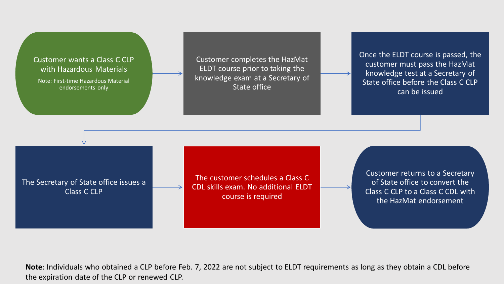## Customer wants a Class C CLP with Hazardous Materials

Note: First-time Hazardous Material endorsements only

Customer completes the HazMat ELDT course prior to taking the knowledge exam at a Secretary of State office

Once the ELDT course is passed, the customer must pass the HazMat knowledge test at a Secretary of State office before the Class C CLP can be issued

The Secretary of State office issues a Class C CLP

The customer schedules a Class C CDL skills exam. No additional ELDT course is required

Customer returns to a Secretary of State office to convert the Class C CLP to a Class C CDL with the HazMat endorsement

**Note**: Individuals who obtained a CLP before Feb. 7, 2022 are not subject to ELDT requirements as long as they obtain a CDL before the expiration date of the CLP or renewed CLP.